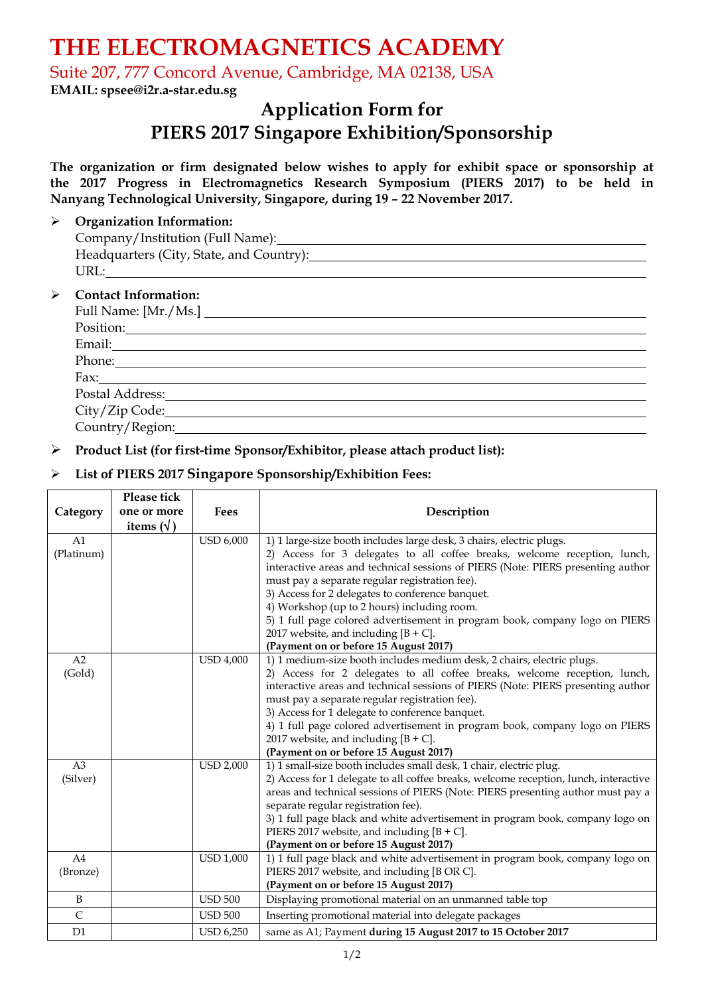# **THE ELECTROMAGNETICS ACADEMY**

Suite 207, 777 Concord Avenue, Cambridge, MA 02138, USA

**EMAIL: spsee@i2r.a-star.edu.sg**

# **Application Form for PIERS 2017 Singapore Exhibition/Sponsorship**

**The organization or firm designated below wishes to apply for exhibit space or sponsorship at the 2017 Progress in Electromagnetics Research Symposium (PIERS 2017) to be held in Nanyang Technological University, Singapore, during 19 – 22 November 2017.**

#### **Organization Information:**

| Company/Institution (Full Name):                              |
|---------------------------------------------------------------|
| Headquarters (City, State, and Country):                      |
| URL:                                                          |
| $\triangleright$ Contact Information:<br>Full Name: [Mr./Ms.] |

| Position:       |
|-----------------|
| Email:          |
| Phone:          |
| Fax:            |
| Postal Address: |
| City/Zip Code:  |
| Country/Region: |

# **Product List (for first-time Sponsor/Exhibitor, please attach product list):**

# **List of PIERS 2017 Singapore Sponsorship/Exhibition Fees:**

|                | Please tick       |                  |                                                                                        |
|----------------|-------------------|------------------|----------------------------------------------------------------------------------------|
| Category       | one or more       | <b>Fees</b>      | Description                                                                            |
|                | items $(\forall)$ |                  |                                                                                        |
| A <sub>1</sub> |                   | <b>USD 6,000</b> | 1) 1 large-size booth includes large desk, 3 chairs, electric plugs.                   |
| (Platinum)     |                   |                  | 2) Access for 3 delegates to all coffee breaks, welcome reception, lunch,              |
|                |                   |                  | interactive areas and technical sessions of PIERS (Note: PIERS presenting author       |
|                |                   |                  | must pay a separate regular registration fee).                                         |
|                |                   |                  | 3) Access for 2 delegates to conference banquet.                                       |
|                |                   |                  | 4) Workshop (up to 2 hours) including room.                                            |
|                |                   |                  | 5) 1 full page colored advertisement in program book, company logo on PIERS            |
|                |                   |                  | 2017 website, and including $[B + C]$ .<br>(Payment on or before 15 August 2017)       |
| A2             |                   | <b>USD 4,000</b> | 1) 1 medium-size booth includes medium desk, 2 chairs, electric plugs.                 |
| (Gold)         |                   |                  | 2) Access for 2 delegates to all coffee breaks, welcome reception, lunch,              |
|                |                   |                  | interactive areas and technical sessions of PIERS (Note: PIERS presenting author       |
|                |                   |                  | must pay a separate regular registration fee).                                         |
|                |                   |                  | 3) Access for 1 delegate to conference banquet.                                        |
|                |                   |                  | 4) 1 full page colored advertisement in program book, company logo on PIERS            |
|                |                   |                  | 2017 website, and including $[B + C]$ .                                                |
|                |                   |                  | (Payment on or before 15 August 2017)                                                  |
| A <sub>3</sub> |                   | <b>USD 2,000</b> | 1) 1 small-size booth includes small desk, 1 chair, electric plug.                     |
| (Silver)       |                   |                  | 2) Access for 1 delegate to all coffee breaks, welcome reception, lunch, interactive   |
|                |                   |                  | areas and technical sessions of PIERS (Note: PIERS presenting author must pay a        |
|                |                   |                  | separate regular registration fee).                                                    |
|                |                   |                  | 3) 1 full page black and white advertisement in program book, company logo on          |
|                |                   |                  | PIERS 2017 website, and including $[B + C]$ .<br>(Payment on or before 15 August 2017) |
| A4             |                   | <b>USD 1,000</b> | 1) 1 full page black and white advertisement in program book, company logo on          |
| (Bronze)       |                   |                  | PIERS 2017 website, and including [B OR C].                                            |
|                |                   |                  | (Payment on or before 15 August 2017)                                                  |
| B              |                   | <b>USD 500</b>   | Displaying promotional material on an unmanned table top                               |
| $\mathsf{C}$   |                   | <b>USD 500</b>   | Inserting promotional material into delegate packages                                  |
| D1             |                   | <b>USD 6,250</b> | same as A1; Payment during 15 August 2017 to 15 October 2017                           |